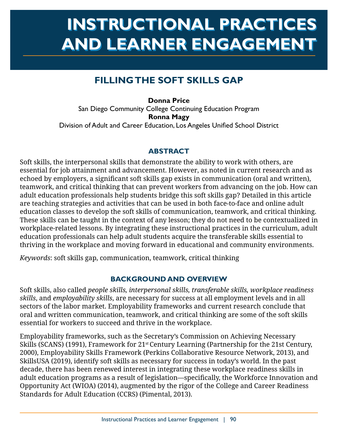# **INSTRUCTIONAL PRACTICES INSTRUCTIONAL PRACTICES AND LEARNER ENGAGEMENT AND LEARNER ENGAGEMENT**

## **FILLING THE SOFT SKILLS GAP**

**Donna Price**  San Diego Community College Continuing Education Program **Ronna Magy**  Division of Adult and Career Education, Los Angeles Unified School District

## **ABSTRACT**

 echoed by employers, a significant soft skills gap exists in communication (oral and written), These skills can be taught in the context of any lesson; they do not need to be contextualized in Soft skills, the interpersonal skills that demonstrate the ability to work with others, are essential for job attainment and advancement. However, as noted in current research and as teamwork, and critical thinking that can prevent workers from advancing on the job. How can adult education professionals help students bridge this soft skills gap? Detailed in this article are teaching strategies and activities that can be used in both face-to-face and online adult education classes to develop the soft skills of communication, teamwork, and critical thinking. workplace-related lessons. By integrating these instructional practices in the curriculum, adult education professionals can help adult students acquire the transferable skills essential to thriving in the workplace and moving forward in educational and community environments.

*Keywords*: soft skills gap, communication, teamwork, critical thinking

## **BACKGROUND AND OVERVIEW**

Soft skills, also called *people skills, interpersonal skills, transferable skills, workplace readiness skills*, and *employability skills*, are necessary for success at all employment levels and in all sectors of the labor market. Employability frameworks and current research conclude that oral and written communication, teamwork, and critical thinking are some of the soft skills essential for workers to succeed and thrive in the workplace.

 adult education programs as a result of legislation—specifically, the Workforce Innovation and Employability frameworks, such as the Secretary's Commission on Achieving Necessary Skills (SCANS) (1991), Framework for 21st Century Learning (Partnership for the 21st Century, 2000), Employability Skills Framework (Perkins Collaborative Resource Network, 2013), and SkillsUSA (2019), identify soft skills as necessary for success in today's world. In the past decade, there has been renewed interest in integrating these workplace readiness skills in Opportunity Act (WIOA) (2014), augmented by the rigor of the College and Career Readiness Standards for Adult Education (CCRS) (Pimental, 2013).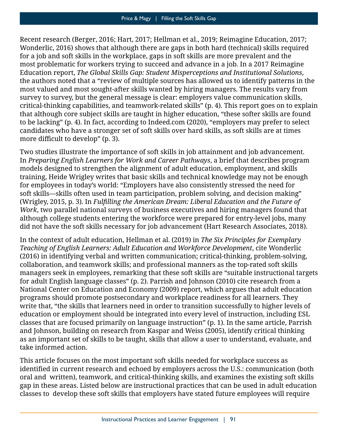critical-thinking capabilities, and teamwork-related skills" (p. 4). This report goes on to explain more difficult to develop" (p. 3). Recent research (Berger, 2016; Hart, 2017; Hellman et al., 2019; Reimagine Education, 2017; Wonderlic, 2016) shows that although there are gaps in both hard (technical) skills required for a job and soft skills in the workplace, gaps in soft skills are more prevalent and the most problematic for workers trying to succeed and advance in a job. In a 2017 Reimagine Education report, *The Global Skills Gap: Student Misperceptions and Institutional Solutions*, the authors noted that a "review of multiple sources has allowed us to identify patterns in the most valued and most sought-after skills wanted by hiring managers. The results vary from survey to survey, but the general message is clear: employers value communication skills, that although core subject skills are taught in higher education, "these softer skills are found to be lacking" (p. 4). In fact, according to [Indeed.com](http://Indeed.com) (2020), "employers may prefer to select candidates who have a stronger set of soft skills over hard skills, as soft skills are at times

 *Work*, two parallel national surveys of business executives and hiring managers found that Two studies illustrate the importance of soft skills in job attainment and job advancement. In *Preparing English Learners for Work and Career Pathways*, a brief that describes program models designed to strengthen the alignment of adult education, employment, and skills training, Heide Wrigley writes that basic skills and technical knowledge may not be enough for employees in today's world: "Employers have also consistently stressed the need for soft skills—skills often used in team participation, problem solving, and decision making" (Wrigley, 2015, p. 3). In *Fulfilling the American Dream: Liberal Education and the Future of*  although college students entering the workforce were prepared for entry-level jobs, many did not have the soft skills necessary for job advancement (Hart Research Associates, 2018).

 In the context of adult education, Hellman et al. (2019) in *The Six Principles for Exemplary Teaching of English Learners: Adult Education and Workforce Development*, cite Wonderlic (2016) in identifying verbal and written communication; critical-thinking, problem-solving, collaboration, and teamwork skills; and professional manners as the top-rated soft skills managers seek in employees, remarking that these soft skills are "suitable instructional targets for adult English language classes" (p. 2). Parrish and Johnson (2010) cite research from a National Center on Education and Economy (2009) report, which argues that adult education programs should promote postsecondary and workplace readiness for all learners. They write that, "the skills that learners need in order to transition successfully to higher levels of education or employment should be integrated into every level of instruction, including ESL classes that are focused primarily on language instruction" (p. 1). In the same article, Parrish and Johnson, building on research from Kaspar and Weiss (2005), identify critical thinking as an important set of skills to be taught, skills that allow a user to understand, evaluate, and take informed action.

 identified in current research and echoed by employers across the U.S.: communication (both oral and written), teamwork, and critical-thinking skills, and examines the existing soft skills This article focuses on the most important soft skills needed for workplace success as gap in these areas. Listed below are instructional practices that can be used in adult education classes to develop these soft skills that employers have stated future employees will require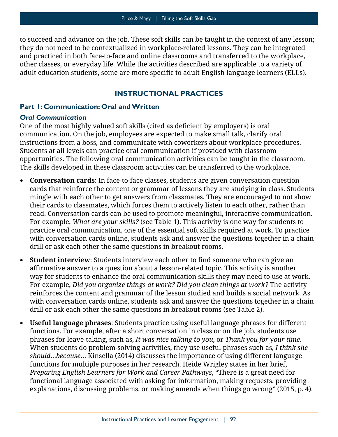to succeed and advance on the job. These soft skills can be taught in the context of any lesson; they do not need to be contextualized in workplace-related lessons. They can be integrated adult education students, some are more specific to adult English language learners (ELLs). and practiced in both face-to-face and online classrooms and transferred to the workplace, other classes, or everyday life. While the activities described are applicable to a variety of

## **INSTRUCTIONAL PRACTICES**

#### **Part 1: Communication: Oral and Written**

#### *Oral Communication*

 One of the most highly valued soft skills (cited as deficient by employers) is oral communication. On the job, employees are expected to make small talk, clarify oral instructions from a boss, and communicate with coworkers about workplace procedures. Students at all levels can practice oral communication if provided with classroom opportunities. The following oral communication activities can be taught in the classroom. The skills developed in these classroom activities can be transferred to the workplace.

- For example, *What are your skills?* (see Table 1). This activity is one way for students to **• Conversation cards**: In face-to-face classes, students are given conversation question cards that reinforce the content or grammar of lessons they are studying in class. Students mingle with each other to get answers from classmates. They are encouraged to not show their cards to classmates, which forces them to actively listen to each other, rather than read. Conversation cards can be used to promote meaningful, interactive communication. practice oral communication, one of the essential soft skills required at work. To practice with conversation cards online, students ask and answer the questions together in a chain drill or ask each other the same questions in breakout rooms.
- **Student interview**: Students interview each other to find someone who can give an affirmative answer to a question about a lesson-related topic. This activity is another For example, *Did you organize things at work? Did you clean things at work?* The activity way for students to enhance the oral communication skills they may need to use at work. reinforces the content and grammar of the lesson studied and builds a social network. As with conversation cards online, students ask and answer the questions together in a chain drill or ask each other the same questions in breakout rooms (see Table 2).
- functions. For example, after a short conversation in class or on the job, students use *should*…*because*… Kinsella (2014) discusses the importance of using different language explanations, discussing problems, or making amends when things go wrong" (2015, p. 4).**• Useful language phrases**: Students practice using useful language phrases for different phrases for leave-taking, such as, *It was nice talking to you*, or *Thank you for your time*. When students do problem-solving activities, they use useful phrases such as, *I think she*  functions for multiple purposes in her research. Heide Wrigley states in her brief, *Preparing English Learners for Work and Career Pathways*, "There is a great need for functional language associated with asking for information, making requests, providing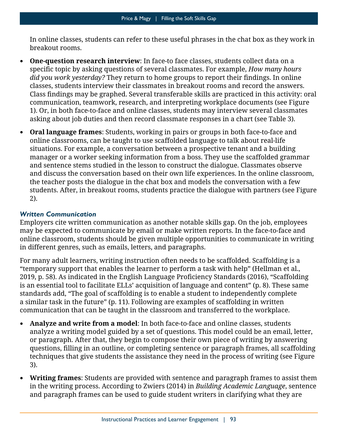In online classes, students can refer to these useful phrases in the chat box as they work in breakout rooms.

- specific topic by asking questions of several classmates. For example, *How many hours did you work yesterday?* They return to home groups to report their findings. In online Class findings may be graphed. Several transferable skills are practiced in this activity: oral **• One-question research interview**: In face-to face classes, students collect data on a classes, students interview their classmates in breakout rooms and record the answers. communication, teamwork, research, and interpreting workplace documents (see Figure 1). Or, in both face-to-face and online classes, students may interview several classmates asking about job duties and then record classmate responses in a chart (see Table 3).
- situations. For example, a conversation between a prospective tenant and a building and discuss the conversation based on their own life experiences. In the online classroom, the teacher posts the dialogue in the chat box and models the conversation with a few **• Oral language frames**: Students, working in pairs or groups in both face-to-face and online classrooms, can be taught to use scaffolded language to talk about real-life manager or a worker seeking information from a boss. They use the scaffolded grammar and sentence stems studied in the lesson to construct the dialogue. Classmates observe students. After, in breakout rooms, students practice the dialogue with partners (see Figure 2).

## *Written Communication*

 may be expected to communicate by email or make written reports. In the face-to-face and Employers cite written communication as another notable skills gap. On the job, employees online classroom, students should be given multiple opportunities to communicate in writing in different genres, such as emails, letters, and paragraphs.

 2019, p. 58). As indicated in the English Language Proficiency Standards (2016), "Scaffolding a similar task in the future" (p. 11). Following are examples of scaffolding in written For many adult learners, writing instruction often needs to be scaffolded. Scaffolding is a "temporary support that enables the learner to perform a task with help" (Hellman et al., is an essential tool to facilitate ELLs' acquisition of language and content" (p. 8). These same standards add, "The goal of scaffolding is to enable a student to independently complete communication that can be taught in the classroom and transferred to the workplace.

- questions, filling in an outline, or completing sentence or paragraph frames, all scaffolding **• Analyze and write from a model**: In both face-to-face and online classes, students analyze a writing model guided by a set of questions. This model could be an email, letter, or paragraph. After that, they begin to compose their own piece of writing by answering techniques that give students the assistance they need in the process of writing (see Figure 3).
- **Writing frames**: Students are provided with sentence and paragraph frames to assist them in the writing process. According to Zwiers (2014) in *Building Academic Language*, sentence and paragraph frames can be used to guide student writers in clarifying what they are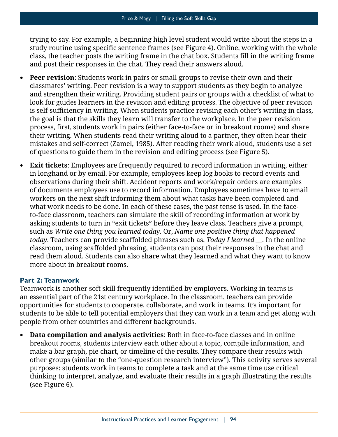trying to say. For example, a beginning high level student would write about the steps in a study routine using specific sentence frames (see Figure 4). Online, working with the whole class, the teacher posts the writing frame in the chat box. Students fill in the writing frame and post their responses in the chat. They read their answers aloud.

- is self-sufficiency in writing. When students practice revising each other's writing in class, process, first, students work in pairs (either face-to-face or in breakout rooms) and share **• Peer revision**: Students work in pairs or small groups to revise their own and their classmates' writing. Peer revision is a way to support students as they begin to analyze and strengthen their writing. Providing student pairs or groups with a checklist of what to look for guides learners in the revision and editing process. The objective of peer revision the goal is that the skills they learn will transfer to the workplace. In the peer revision their writing. When students read their writing aloud to a partner, they often hear their mistakes and self-correct (Zamel, 1985). After reading their work aloud, students use a set of questions to guide them in the revision and editing process (see Figure 5).
- in longhand or by email. For example, employees keep log books to record events and observations during their shift. Accident reports and work/repair orders are examples workers on the next shift informing them about what tasks have been completed and asking students to turn in "exit tickets" before they leave class. Teachers give a prompt, **• Exit tickets**: Employees are frequently required to record information in writing, either of documents employees use to record information. Employees sometimes have to email what work needs to be done. In each of these cases, the past tense is used. In the faceto-face classroom, teachers can simulate the skill of recording information at work by such as *Write one thing you learned today*. Or, *Name one positive thing that happened today*. Teachers can provide scaffolded phrases such as, *Today I learned \_\_*. In the online classroom, using scaffolded phrasing, students can post their responses in the chat and read them aloud. Students can also share what they learned and what they want to know more about in breakout rooms.

## **Part 2: Teamwork**

 Teamwork is another soft skill frequently identified by employers. Working in teams is an essential part of the 21st century workplace. In the classroom, teachers can provide opportunities for students to cooperate, collaborate, and work in teams. It's important for students to be able to tell potential employers that they can work in a team and get along with people from other countries and different backgrounds.

**• Data compilation and analysis activities**: Both in face-to-face classes and in online breakout rooms, students interview each other about a topic, compile information, and make a bar graph, pie chart, or timeline of the results. They compare their results with other groups (similar to the "one-question research interview"). This activity serves several purposes: students work in teams to complete a task and at the same time use critical thinking to interpret, analyze, and evaluate their results in a graph illustrating the results (see Figure 6).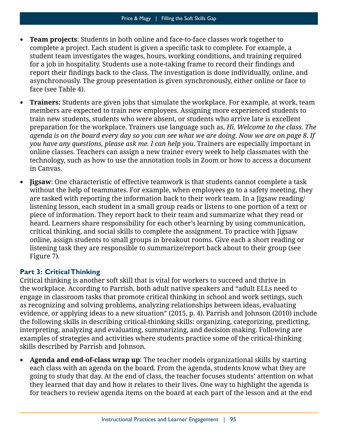- complete a project. Each student is given a specific task to complete. For example, a for a job in hospitality. Students use a note-taking frame to record their findings and report their findings back to the class. The investigation is done individually, online, and **• Team projects**: Students in both online and face-to-face classes work together to student team investigates the wages, hours, working conditions, and training required asynchronously. The group presentation is given synchronously, either online or face to face (see Table 4).
- **Trainers:** Students are given jobs that simulate the workplace. For example, at work, team members are expected to train new employees. Assigning more experienced students to train new students, students who were absent, or students who arrive late is excellent preparation for the workplace. Trainers use language such as, *Hi. Welcome to the class. The agenda is on the board every day so you can see what we are doing. Now we are on page 8. If you have any questions, please ask me. I can help you*. Trainers are especially important in online classes. Teachers can assign a new trainer every week to help classmates with the technology, such as how to use the annotation tools in Zoom or how to access a document in Canvas.
- without the help of teammates. For example, when employees go to a safety meeting, they listening lesson, each student in a small group reads or listens to one portion of a text or **• Jigsaw**: One characteristic of effective teamwork is that students cannot complete a task are tasked with reporting the information back to their work team. In a Jigsaw reading/ piece of information. They report back to their team and summarize what they read or heard. Learners share responsibility for each other's learning by using communication, critical thinking, and social skills to complete the assignment. To practice with Jigsaw online, assign students to small groups in breakout rooms. Give each a short reading or listening task they are responsible to summarize/report back about to their group (see Figure 7).

## **Part 3: Critical Thinking**

 examples of strategies and activities where students practice some of the critical-thinking Critical thinking is another soft skill that is vital for workers to succeed and thrive in the workplace. According to Parrish, both adult native speakers and "adult ELLs need to engage in classroom tasks that promote critical thinking in school and work settings, such as recognizing and solving problems, analyzing relationships between ideas, evaluating evidence, or applying ideas to a new situation" (2015, p. 4). Parrish and Johnson (2010) include the following skills in describing critical-thinking skills: organizing, categorizing, predicting, interpreting, analyzing and evaluating, summarizing, and decision making. Following are skills described by Parrish and Johnson.

**• Agenda and end-of-class wrap up**: The teacher models organizational skills by starting each class with an agenda on the board. From the agenda, students know what they are going to study that day. At the end of class, the teacher focuses students' attention on what they learned that day and how it relates to their lives. One way to highlight the agenda is for teachers to review agenda items on the board at each part of the lesson and at the end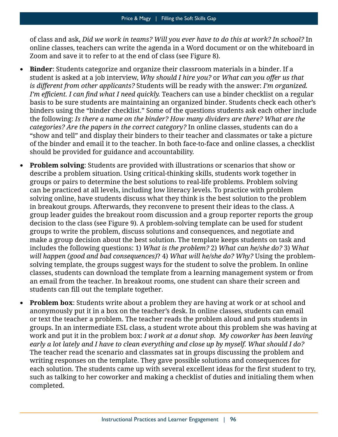of class and ask, *Did we work in teams? Will you ever have to do this at work? In school?* In online classes, teachers can write the agenda in a Word document or on the whiteboard in Zoom and save it to refer to at the end of class (see Figure 8).

- **Binder**: Students categorize and organize their classroom materials in a binder. If a student is asked at a job interview, *Why should I hire you?* or *What can you offer us that is different from other applicants?* Students will be ready with the answer: *I'm organized. I'm efficient. I can find what I need quickly.* Teachers can use a binder checklist on a regular basis to be sure students are maintaining an organized binder. Students check each other's binders using the "binder checklist." Some of the questions students ask each other include the following: *Is there a name on the binder? How many dividers are there? What are the categories? Are the papers in the correct category?* In online classes, students can do a "show and tell" and display their binders to their teacher and classmates or take a picture of the binder and email it to the teacher. In both face-to-face and online classes, a checklist should be provided for guidance and accountability.
- students can fill out the template together. **• Problem solving**: Students are provided with illustrations or scenarios that show or describe a problem situation. Using critical-thinking skills, students work together in groups or pairs to determine the best solutions to real-life problems. Problem solving can be practiced at all levels, including low literacy levels. To practice with problem solving online, have students discuss what they think is the best solution to the problem in breakout groups. Afterwards, they reconvene to present their ideas to the class. A group leader guides the breakout room discussion and a group reporter reports the group decision to the class (see Figure 9). A problem-solving template can be used for student groups to write the problem, discuss solutions and consequences, and negotiate and make a group decision about the best solution. The template keeps students on task and includes the following questions: 1) *What is the problem?* 2) *What can he/she do?* 3) W*hat will happen (good and bad consequences)*? 4) *What will he/she do? Why?* Using the problemsolving template, the groups suggest ways for the student to solve the problem. In online classes, students can download the template from a learning management system or from an email from the teacher. In breakout rooms, one student can share their screen and
- anonymously put it in a box on the teacher's desk. In online classes, students can email or text the teacher a problem. The teacher reads the problem aloud and puts students in work and put it in the problem box: *I work at a donut shop. My coworker has been leaving*  each solution. The students came up with several excellent ideas for the first student to try, **• Problem box**: Students write about a problem they are having at work or at school and groups. In an intermediate ESL class, a student wrote about this problem she was having at *early a lot lately and I have to clean everything and close up by myself. What should I do?*  The teacher read the scenario and classmates sat in groups discussing the problem and writing responses on the template. They gave possible solutions and consequences for such as talking to her coworker and making a checklist of duties and initialing them when completed.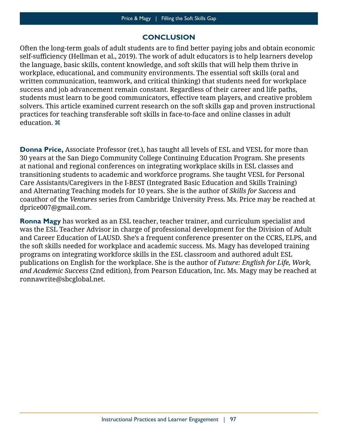## **CONCLUSION**

 Often the long-term goals of adult students are to find better paying jobs and obtain economic self-sufficiency (Hellman et al., 2019). The work of adult educators is to help learners develop solvers. This article examined current research on the soft skills gap and proven instructional the language, basic skills, content knowledge, and soft skills that will help them thrive in workplace, educational, and community environments. The essential soft skills (oral and written communication, teamwork, and critical thinking) that students need for workplace success and job advancement remain constant. Regardless of their career and life paths, students must learn to be good communicators, effective team players, and creative problem practices for teaching transferable soft skills in face-to-face and online classes in adult education.  $\mathbb{R}$ 

**Donna Price,** Associate Professor (ret.), has taught all levels of ESL and VESL for more than 30 years at the San Diego Community College Continuing Education Program. She presents at national and regional conferences on integrating workplace skills in ESL classes and transitioning students to academic and workforce programs. She taught VESL for Personal Care Assistants/Caregivers in the I-BEST (Integrated Basic Education and Skills Training) and Alternating Teaching models for 10 years. She is the author of *Skills for Success* and coauthor of the *Ventures* series from Cambridge University Press. Ms. Price may be reached at [dprice007@gmail.com](mailto:dprice007@gmail.com).

**Ronna Magy** has worked as an ESL teacher, teacher trainer, and curriculum specialist and was the ESL Teacher Advisor in charge of professional development for the Division of Adult and Career Education of LAUSD. She's a frequent conference presenter on the CCRS, ELPS, and the soft skills needed for workplace and academic success. Ms. Magy has developed training programs on integrating workforce skills in the ESL classroom and authored adult ESL publications on English for the workplace. She is the author of *Future: English for Life, Work, and Academic Success* (2nd edition), from Pearson Education, Inc. Ms. Magy may be reached at [ronnawrite@sbcglobal.net](mailto:ronnawrite@sbcglobal.net).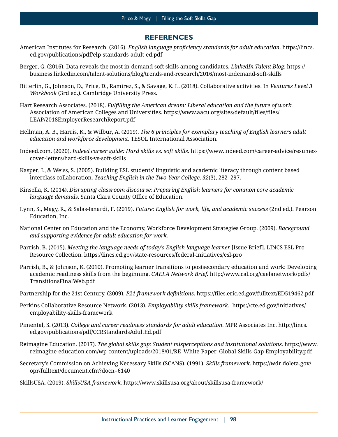#### **REFERENCES**

- American Institutes for Research. (2016). *English language proficiency standards for adult education*. [https://lincs.](https://lincs.ed.gov/publications/pdf/elp-standards-adult-ed.pdf) [ed.gov/publications/pdf/elp-standards-adult-ed.pdf](https://lincs.ed.gov/publications/pdf/elp-standards-adult-ed.pdf)
- Berger, G. (2016). Data reveals the most in-demand soft skills among candidates. *LinkedIn Talent Blog*. [https://](https://business.linkedin.com/talent-solutions/blog/trends-and-research/2016/most-indemand-soft-skills)  [business.linkedin.com/talent-solutions/blog/trends-and-research/2016/most-indemand-soft-skills](https://business.linkedin.com/talent-solutions/blog/trends-and-research/2016/most-indemand-soft-skills)
- Bitterlin, G., Johnson, D., Price, D., Ramirez, S., & Savage, K. L. (2018). Collaborative activities. In *Ventures Level 3 Workbook* (3rd ed.). Cambridge University Press.
- Association of American Colleges and Universities. [https://www.aacu.org/sites/default/files/files/](https://www.aacu.org/sites/default/files/files) Hart Research Associates. (2018). *Fulfilling the American dream: Liberal education and the future of work*. LEAP/2018EmployerResearchReport.[pdf](https://www.aacu.org/sites/default/files/files/LEAP/2018EmployerResearchReport.pdf)
- Hellman, A. B., Harris, K., & Wilbur, A. (2019). *The 6 principles for exemplary teaching of English learners adult education and workforce development*. TESOL International Association.
- [Indeed.com.](http://Indeed.com) (2020). *Indeed career guide: Hard skills vs. soft skills*. [https://www.indeed.com/career-advice/resumes](https://www.indeed.com/career-advice/resumes-cover-letters/hard-skills-vs-soft-skills)[cover-letters/hard-skills-vs-soft-skills](https://www.indeed.com/career-advice/resumes-cover-letters/hard-skills-vs-soft-skills)
- Kasper, I., & Weiss, S. (2005). Building ESL students' linguistic and academic literacy through content based interclass collaboration. *Teaching English in the Two-Year College, 32*(3), 282–297.
- *language demands*. Santa Clara County Office of Education. Kinsella, K. (2014). *Disrupting classroom discourse: Preparing English learners for common core academic*
- Lynn, S., Magy, R., & Salas-Isnardi, F. (2019). *Future: English for work, life, and academic success* (2nd ed.). Pearson Education, Inc.
- National Center on Education and the Economy, Workforce Development Strategies Group. (2009). *Background and supporting evidence for adult education for work.*
- Parrish, B. (2015). *Meeting the language needs of today's English language learner* [Issue Brief]. LINCS ESL Pro Resource Collection. <https://lincs.ed.gov/state-resources/federal-initiatives/esl-pro>
- Parrish, B., & Johnson, K. (2010). Promoting learner transitions to postsecondary education and work: Developing academic readiness skills from the beginning. *CAELA Network Brief.* [http://www.cal.org/caelanetwork/pdfs/](http://www.cal.org/caelanetwork/pdfs/TransitionsFinalWeb.pdf) [TransitionsFinalWeb.pdf](http://www.cal.org/caelanetwork/pdfs/TransitionsFinalWeb.pdf)
- Partnership for the 21st Century. (2009). *P21 framework definitions*. <https://files.eric.ed.gov/fulltext/ED519462.pdf>
- Perkins Collaborative Resource Network. (2013). *Employability skills framework*. [https://cte.ed.gov/initiatives/](https://cte.ed.gov/initiatives/employability-skills-framework) [employability-skills-framework](https://cte.ed.gov/initiatives/employability-skills-framework)
- Pimental, S. (2013). *College and career readiness standards for adult education*. MPR Associates Inc. [http://lincs.](http://lincs.ed.gov/publications/pdf/CCRStandardsAdultEd.pdf) [ed.gov/publications/pdf/CCRStandardsAdultEd.pdf](http://lincs.ed.gov/publications/pdf/CCRStandardsAdultEd.pdf)
- Reimagine Education. (2017). *The global skills gap: Student misperceptions and institutional solutions*. [https://www.](https://www.reimagine-education.com/wp-content/uploads/2018/01/RE_White-Paper_Global-Skills-Gap-Employability.pdf)  [reimagine-education.com/wp-content/uploads/2018/01/RE\\_White-Paper\\_Global-Skills-Gap-Employability.pdf](https://www.reimagine-education.com/wp-content/uploads/2018/01/RE_White-Paper_Global-Skills-Gap-Employability.pdf)
- Secretary's Commission on Achieving Necessary Skills (SCANS). (1991). *Skills framework*. [https://wdr.doleta.gov/](https://wdr.doleta.gov/opr/fulltext/document.cfm?docn=6140)  [opr/fulltext/document.cfm?docn=6140](https://wdr.doleta.gov/opr/fulltext/document.cfm?docn=6140)
- SkillsUSA. (2019). *SkillsUSA framework.* <https://www.skillsusa.org/about/skillsusa-framework/>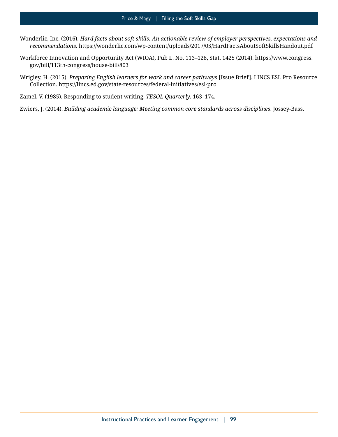- Wonderlic, Inc. (2016). *Hard facts about soft skills: An actionable review of employer perspectives, expectations and recommendations.* <https://wonderlic.com/wp-content/uploads/2017/05/HardFactsAboutSoftSkillsHandout.pdf>
- Workforce Innovation and Opportunity Act (WIOA), Pub L. No. 113–128, Stat. 1425 (2014). [https://www.congress.](https://www.congress.gov/bill/113th-congress/house-bill/803)  [gov/bill/113th-congress/house-bill/803](https://www.congress.gov/bill/113th-congress/house-bill/803)
- Wrigley, H. (2015). *Preparing English learners for work and career pathways* [Issue Brief]. LINCS ESL Pro Resource Collection.<https://lincs.ed.gov/state-resources/federal-initiatives/esl-pro>
- Zamel, V. (1985). Responding to student writing. *TESOL Quarterly*, 163–174.
- Zwiers, J. (2014). *Building academic language: Meeting common core standards across disciplines*. Jossey-Bass.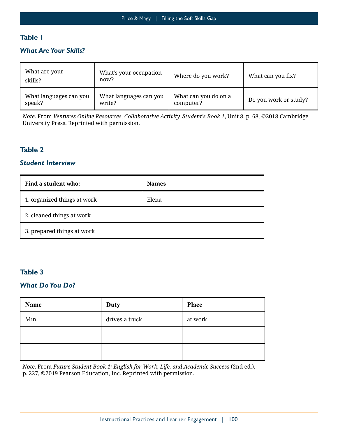## **Table 1**

## *What Are Your Skills?*

| What are your<br>skills? | What's your occupation<br>now? | Where do you work?   | What can you fix?     |  |
|--------------------------|--------------------------------|----------------------|-----------------------|--|
| What languages can you   | What languages can you         | What can you do on a | Do you work or study? |  |
| speak?                   | write?                         | computer?            |                       |  |

*Note*. From *Ventures Online Resources, Collaborative Activity, Student's Book 1*, Unit 8, p. 68, ©2018 Cambridge University Press. Reprinted with permission.

## **Table 2**

#### *Student Interview*

| Find a student who:         | <b>Names</b> |
|-----------------------------|--------------|
| 1. organized things at work | Elena        |
| 2. cleaned things at work   |              |
| 3. prepared things at work  |              |

#### **Table 3**

#### *What Do You Do?*

| Name | <b>Duty</b>    | <b>Place</b> |
|------|----------------|--------------|
| Min  | drives a truck | at work      |
|      |                |              |
|      |                |              |

*Note*. From *Future Student Book 1: English for Work, Life, and Academic Success* (2nd ed.), p. 227, ©2019 Pearson Education, Inc. Reprinted with permission.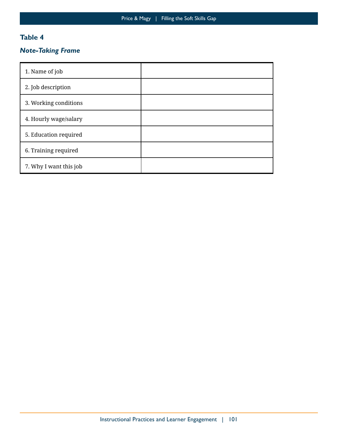## **Table 4**

## *Note-Taking Frame*

| 1. Name of job         |  |
|------------------------|--|
| 2. Job description     |  |
| 3. Working conditions  |  |
| 4. Hourly wage/salary  |  |
| 5. Education required  |  |
| 6. Training required   |  |
| 7. Why I want this job |  |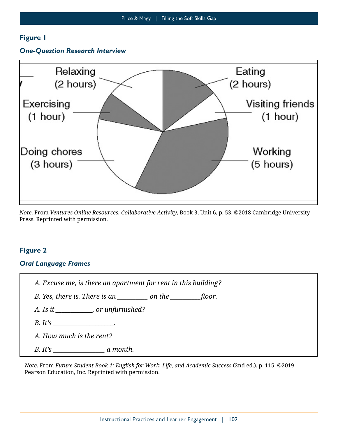#### *One-Question Research Interview*



*Note*. From *Ventures Online Resources, Collaborative Activity*, Book 3, Unit 6, p. 53, ©2018 Cambridge University Press. Reprinted with permission.

## **Figure 2**

#### *Oral Language Frames*

|  |  |  |  |  |  | A. Excuse me, is there an apartment for rent in this building? |  |  |  |  |  |  |
|--|--|--|--|--|--|----------------------------------------------------------------|--|--|--|--|--|--|
|--|--|--|--|--|--|----------------------------------------------------------------|--|--|--|--|--|--|

*B. Yes, there is. There is an \_\_\_\_\_\_\_\_\_\_ on the \_\_\_\_\_\_\_\_\_\_floor.*

*A. Is it \_\_\_\_\_\_\_\_\_\_\_\_, or unfurnished?* 

*B. It's \_\_\_\_\_\_\_\_\_\_\_\_\_\_\_\_\_\_\_\_.* 

*A. How much is the rent?* 

*B. It's \_\_\_\_\_\_\_\_\_\_\_\_\_\_\_\_\_ a month.* 

*Note*. From *Future Student Book 1: English for Work, Life, and Academic Success* (2nd ed.), p. 115, ©2019 Pearson Education, Inc. Reprinted with permission.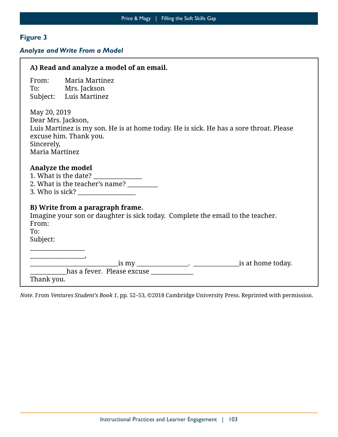## *Analyze and Write From a Model*

| A) Read and analyze a model of an email.                                                                                                                                               |
|----------------------------------------------------------------------------------------------------------------------------------------------------------------------------------------|
| Maria Martinez<br>From:<br>To: Mrs. Jackson<br>Subject: Luis Martinez                                                                                                                  |
| May 20, 2019<br>Dear Mrs. Jackson,<br>Luis Martinez is my son. He is at home today. He is sick. He has a sore throat. Please<br>excuse him. Thank you.<br>Sincerely,<br>Maria Martinez |
| <b>Analyze the model</b><br>2. What is the teacher's name? _______                                                                                                                     |
| B) Write from a paragraph frame.<br>Imagine your son or daughter is sick today. Complete the email to the teacher.<br>From:<br>To:<br>Subject:                                         |
| <u> 1980 - Johann John Harry Barnett, mars a</u><br><u> 1980 - Johann Barbara, martxa alemaniar a</u><br>has a fever. Please excuse ____________<br>Thank you.                         |

*Note*. From *Ventures Student's Book 1*, pp. 52–53, ©2018 Cambridge University Press. Reprinted with permission.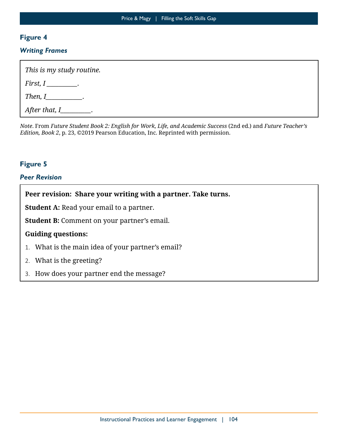#### *Writing Frames*

| This is my study routine.   |
|-----------------------------|
| First, $I$ _________.       |
| Then, I____________.        |
| After that, $I$ __________. |

*Note*. From *Future Student Book 2: English for Work, Life, and Academic Success* (2nd ed.) and *Future Teacher's Edition, Book 2*, p. 23, ©2019 Pearson Education, Inc. Reprinted with permission.

## **Figure 5**

## *Peer Revision*

**Peer revision: Share your writing with a partner. Take turns.** 

**Student A:** Read your email to a partner.

**Student B:** Comment on your partner's email.

#### **Guiding questions:**

- 1. What is the main idea of your partner's email?
- 2. What is the greeting?
- 3. How does your partner end the message?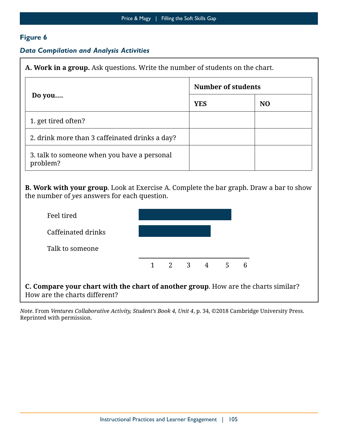## *Data Compilation and Analysis Activities*

**A. Work in a group.** Ask questions. Write the number of students on the chart.

|                                                         | <b>Number of students</b> |                |  |  |  |
|---------------------------------------------------------|---------------------------|----------------|--|--|--|
| Do you                                                  | <b>YES</b>                | N <sub>0</sub> |  |  |  |
| 1. get tired often?                                     |                           |                |  |  |  |
| 2. drink more than 3 caffeinated drinks a day?          |                           |                |  |  |  |
| 3. talk to someone when you have a personal<br>problem? |                           |                |  |  |  |

 **B. Work with your group**. Look at Exercise A. Complete the bar graph. Draw a bar to show the number of *yes* answers for each question.

| Feel tired         |  |                                     |   |  |
|--------------------|--|-------------------------------------|---|--|
| Caffeinated drinks |  |                                     |   |  |
| Talk to someone    |  |                                     |   |  |
|                    |  | $1 \quad 2 \quad 3 \quad 4 \quad 5$ | 6 |  |

**C. Compare your chart with the chart of another group**. How are the charts similar? How are the charts different?

*Note*. From *Ventures Collaborative Activity, Student's Book 4, Unit 4*, p. 34, ©2018 Cambridge University Press. Reprinted with permission.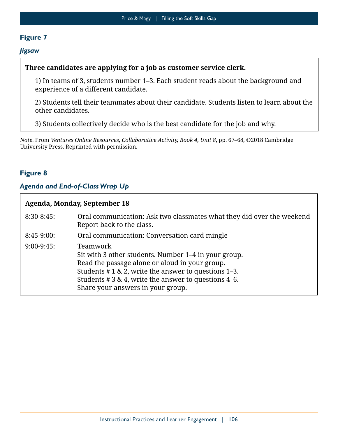#### *Jigsaw*

## **Three candidates are applying for a job as customer service clerk.**

 experience of a different candidate. 1) In teams of 3, students number 1–3. Each student reads about the background and

2) Students tell their teammates about their candidate. Students listen to learn about the other candidates.

3) Students collectively decide who is the best candidate for the job and why.

*Note*. From *Ventures Online Resources, Collaborative Activity, Book 4, Unit 8*, pp. 67–68, ©2018 Cambridge University Press. Reprinted with permission.

## **Figure 8**

Г

## *Agenda and End-of-Class Wrap Up*

| Agenda, Monday, September 18 |                                                                                                                                                                                                                                                                             |  |  |  |
|------------------------------|-----------------------------------------------------------------------------------------------------------------------------------------------------------------------------------------------------------------------------------------------------------------------------|--|--|--|
| $8:30-8:45$ :                | Oral communication: Ask two classmates what they did over the weekend<br>Report back to the class.                                                                                                                                                                          |  |  |  |
| $8:45-9:00$ :                | Oral communication: Conversation card mingle                                                                                                                                                                                                                                |  |  |  |
| $9:00-9:45$ :                | Teamwork<br>Sit with 3 other students. Number 1–4 in your group.<br>Read the passage alone or aloud in your group.<br>Students $# 1 \& 2$ , write the answer to questions 1–3.<br>Students # 3 & 4, write the answer to questions 4–6.<br>Share your answers in your group. |  |  |  |